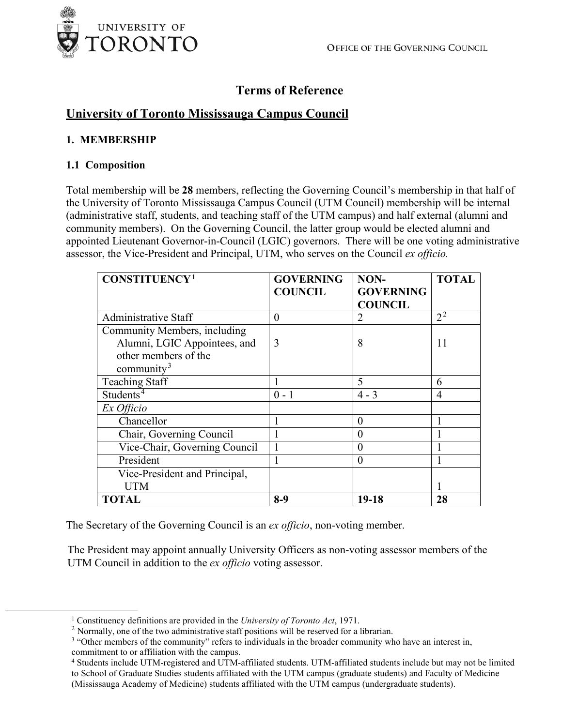

# **Terms of Reference**

# **University of Toronto Mississauga Campus Council**

#### **1. MEMBERSHIP**

#### **1.1 Composition**

Total membership will be **28** members, reflecting the Governing Council's membership in that half of the University of Toronto Mississauga Campus Council (UTM Council) membership will be internal (administrative staff, students, and teaching staff of the UTM campus) and half external (alumni and community members). On the Governing Council, the latter group would be elected alumni and appointed Lieutenant Governor-in-Council (LGIC) governors. There will be one voting administrative assessor, the Vice-President and Principal, UTM, who serves on the Council *ex officio.*

| <b>CONSTITUENCY1</b>          | <b>GOVERNING</b> | NON-             | <b>TOTAL</b> |
|-------------------------------|------------------|------------------|--------------|
|                               | <b>COUNCIL</b>   | <b>GOVERNING</b> |              |
|                               |                  | <b>COUNCIL</b>   |              |
| <b>Administrative Staff</b>   | $\theta$         | 2                | $2^2$        |
| Community Members, including  |                  |                  |              |
| Alumni, LGIC Appointees, and  | 3                | 8                | 11           |
| other members of the          |                  |                  |              |
| community <sup>3</sup>        |                  |                  |              |
| <b>Teaching Staff</b>         |                  | 5                | 6            |
| Students <sup>4</sup>         | $0 - 1$          | $4 - 3$          | 4            |
| Ex Officio                    |                  |                  |              |
| Chancellor                    |                  | 0                |              |
| Chair, Governing Council      |                  | 0                |              |
| Vice-Chair, Governing Council |                  | 0                |              |
| President                     |                  | 0                |              |
| Vice-President and Principal, |                  |                  |              |
| <b>UTM</b>                    |                  |                  |              |
| <b>TOTAL</b>                  | $8-9$            | $19-18$          | 28           |

The Secretary of the Governing Council is an *ex officio*, non-voting member.

The President may appoint annually University Officers as non-voting assessor members of the UTM Council in addition to the *ex officio* voting assessor.

<span id="page-0-0"></span><sup>1</sup> Constituency definitions are provided in the *University of Toronto Act*, 1971.

<span id="page-0-1"></span> $2$  Normally, one of the two administrative staff positions will be reserved for a librarian.

<span id="page-0-2"></span><sup>&</sup>lt;sup>3</sup> "Other members of the community" refers to individuals in the broader community who have an interest in, commitment to or affiliation with the campus.

<span id="page-0-3"></span><sup>4</sup> Students include UTM-registered and UTM-affiliated students. UTM-affiliated students include but may not be limited to School of Graduate Studies students affiliated with the UTM campus (graduate students) and Faculty of Medicine (Mississauga Academy of Medicine) students affiliated with the UTM campus (undergraduate students).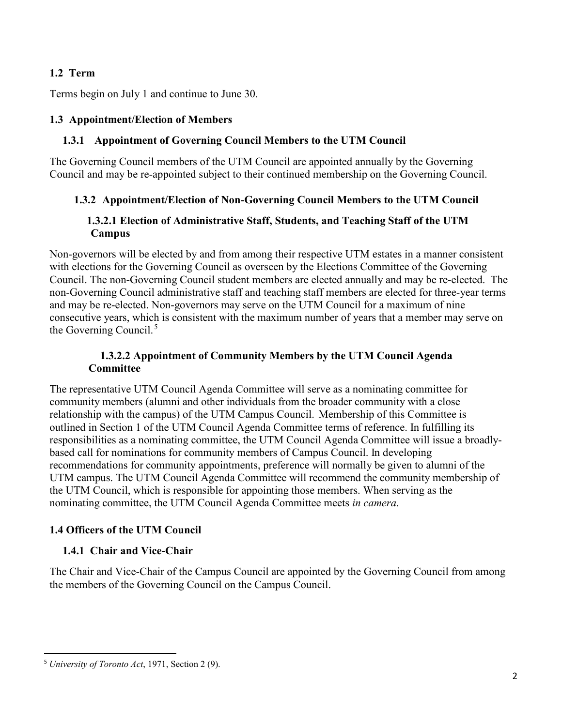### **1.2 Term**

Terms begin on July 1 and continue to June 30.

#### **1.3 Appointment/Election of Members**

#### **1.3.1 Appointment of Governing Council Members to the UTM Council**

The Governing Council members of the UTM Council are appointed annually by the Governing Council and may be re-appointed subject to their continued membership on the Governing Council.

#### **1.3.2 Appointment/Election of Non-Governing Council Members to the UTM Council**

#### **1.3.2.1 Election of Administrative Staff, Students, and Teaching Staff of the UTM Campus**

Non-governors will be elected by and from among their respective UTM estates in a manner consistent with elections for the Governing Council as overseen by the Elections Committee of the Governing Council. The non-Governing Council student members are elected annually and may be re-elected. The non-Governing Council administrative staff and teaching staff members are elected for three-year terms and may be re-elected. Non-governors may serve on the UTM Council for a maximum of nine consecutive years, which is consistent with the maximum number of years that a member may serve on the Governing Council.<sup>[5](#page-1-0)</sup>

#### **1.3.2.2 Appointment of Community Members by the UTM Council Agenda Committee**

The representative UTM Council Agenda Committee will serve as a nominating committee for community members (alumni and other individuals from the broader community with a close relationship with the campus) of the UTM Campus Council. Membership of this Committee is outlined in Section 1 of the UTM Council Agenda Committee terms of reference. In fulfilling its responsibilities as a nominating committee, the UTM Council Agenda Committee will issue a broadlybased call for nominations for community members of Campus Council. In developing recommendations for community appointments, preference will normally be given to alumni of the UTM campus. The UTM Council Agenda Committee will recommend the community membership of the UTM Council, which is responsible for appointing those members. When serving as the nominating committee, the UTM Council Agenda Committee meets *in camera*.

#### **1.4 Officers of the UTM Council**

#### **1.4.1 Chair and Vice-Chair**

The Chair and Vice-Chair of the Campus Council are appointed by the Governing Council from among the members of the Governing Council on the Campus Council.

<span id="page-1-0"></span><sup>5</sup> *University of Toronto Act*, 1971, Section 2 (9).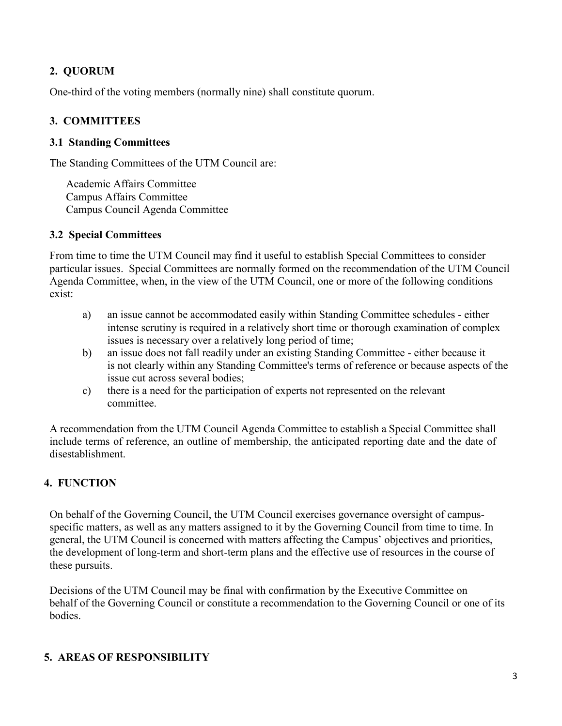# **2. QUORUM**

One-third of the voting members (normally nine) shall constitute quorum.

## **3. COMMITTEES**

#### **3.1 Standing Committees**

The Standing Committees of the UTM Council are:

Academic Affairs Committee Campus Affairs Committee Campus Council Agenda Committee

#### **3.2 Special Committees**

From time to time the UTM Council may find it useful to establish Special Committees to consider particular issues. Special Committees are normally formed on the recommendation of the UTM Council Agenda Committee, when, in the view of the UTM Council, one or more of the following conditions exist:

- a) an issue cannot be accommodated easily within Standing Committee schedules either intense scrutiny is required in a relatively short time or thorough examination of complex issues is necessary over a relatively long period of time;
- b) an issue does not fall readily under an existing Standing Committee either because it is not clearly within any Standing Committee's terms of reference or because aspects of the issue cut across several bodies;
- c) there is a need for the participation of experts not represented on the relevant committee.

A recommendation from the UTM Council Agenda Committee to establish a Special Committee shall include terms of reference, an outline of membership, the anticipated reporting date and the date of disestablishment.

# **4. FUNCTION**

On behalf of the Governing Council, the UTM Council exercises governance oversight of campusspecific matters, as well as any matters assigned to it by the Governing Council from time to time. In general, the UTM Council is concerned with matters affecting the Campus' objectives and priorities, the development of long-term and short-term plans and the effective use of resources in the course of these pursuits.

Decisions of the UTM Council may be final with confirmation by the Executive Committee on behalf of the Governing Council or constitute a recommendation to the Governing Council or one of its bodies.

# **5. AREAS OF RESPONSIBILITY**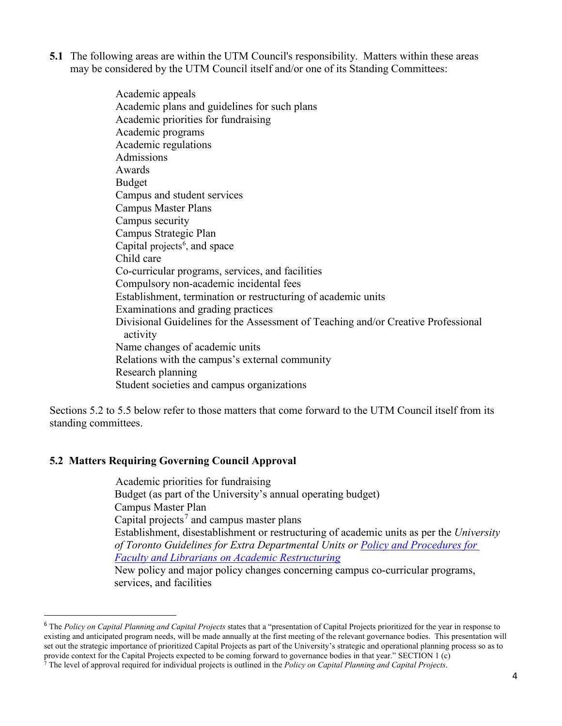- **5.1** The following areas are within the UTM Council's responsibility. Matters within these areas may be considered by the UTM Council itself and/or one of its Standing Committees:
	- Academic appeals Academic plans and guidelines for such plans Academic priorities for fundraising Academic programs Academic regulations Admissions Awards Budget Campus and student services Campus Master Plans Campus security Campus Strategic Plan Capital projects<sup>[6](#page-3-0)</sup>, and space Child care Co-curricular programs, services, and facilities Compulsory non-academic incidental fees Establishment, termination or restructuring of academic units Examinations and grading practices Divisional Guidelines for the Assessment of Teaching and/or Creative Professional activity Name changes of academic units Relations with the campus's external community Research planning Student societies and campus organizations

Sections 5.2 to 5.5 below refer to those matters that come forward to the UTM Council itself from its standing committees.

#### **5.2 Matters Requiring Governing Council Approval**

Academic priorities for fundraising Budget (as part of the University's annual operating budget) Campus Master Plan Capital projects<sup>[7](#page-3-1)</sup> and campus master plans Establishment, disestablishment or restructuring of academic units as per the *University of Toronto Guidelines for Extra Departmental Units or [Policy and Procedures for](https://governingcouncil.utoronto.ca/secretariat/policies/academic-restructuring-policy-and-procedures-faculty-and-librarians-february)  [Faculty and Librarians on Academic Restructuring](https://governingcouncil.utoronto.ca/secretariat/policies/academic-restructuring-policy-and-procedures-faculty-and-librarians-february)* New policy and major policy changes concerning campus co-curricular programs, services, and facilities

<span id="page-3-0"></span><sup>6</sup> The *Policy on Capital Planning and Capital Projects* states that a "presentation of Capital Projects prioritized for the year in response to existing and anticipated program needs, will be made annually at the first meeting of the relevant governance bodies. This presentation will set out the strategic importance of prioritized Capital Projects as part of the University's strategic and operational planning process so as to provide context for the Capital Projects expected to be coming forward to governance bodies in that year." SECTION 1 (c)

<span id="page-3-1"></span><sup>7</sup> The level of approval required for individual projects is outlined in the *Policy on Capital Planning and Capital Projects*.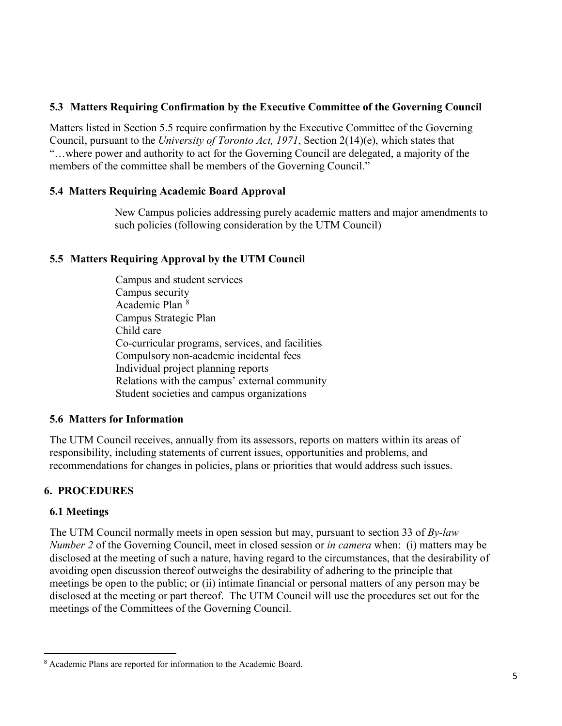### **5.3 Matters Requiring Confirmation by the Executive Committee of the Governing Council**

Matters listed in Section 5.5 require confirmation by the Executive Committee of the Governing Council, pursuant to the *University of Toronto Act, 1971*, Section 2(14)(e), which states that "…where power and authority to act for the Governing Council are delegated, a majority of the members of the committee shall be members of the Governing Council."

#### **5.4 Matters Requiring Academic Board Approval**

New Campus policies addressing purely academic matters and major amendments to such policies (following consideration by the UTM Council)

## **5.5 Matters Requiring Approval by the UTM Council**

Campus and student services Campus security Academic Plan [8](#page-4-0) Campus Strategic Plan Child care Co-curricular programs, services, and facilities Compulsory non-academic incidental fees Individual project planning reports Relations with the campus' external community Student societies and campus organizations

#### **5.6 Matters for Information**

The UTM Council receives, annually from its assessors, reports on matters within its areas of responsibility, including statements of current issues, opportunities and problems, and recommendations for changes in policies, plans or priorities that would address such issues.

# **6. PROCEDURES**

#### **6.1 Meetings**

The UTM Council normally meets in open session but may, pursuant to section 33 of *By-law Number 2* of the Governing Council, meet in closed session or *in camera* when: (i) matters may be disclosed at the meeting of such a nature, having regard to the circumstances, that the desirability of avoiding open discussion thereof outweighs the desirability of adhering to the principle that meetings be open to the public; or (ii) intimate financial or personal matters of any person may be disclosed at the meeting or part thereof. The UTM Council will use the procedures set out for the meetings of the Committees of the Governing Council.

<span id="page-4-0"></span><sup>8</sup> Academic Plans are reported for information to the Academic Board.